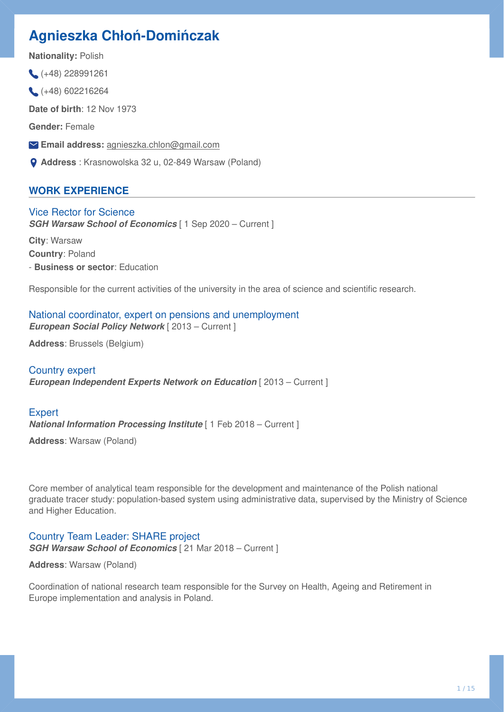# **Agnieszka Chłoń-Domińczak**

**Nationality:** Polish

 $( +48)$  228991261

 $(+48)$  602216264

**Date of birth**: 12 Nov 1973

**Gender:** Female

**Email address:** [agnieszka.chlon@gmail.com](mailto:agnieszka.chlon@gmail.com)

**Address** : Krasnowolska 32 u, 02-849 Warsaw (Poland)

# **WORK EXPERIENCE**

Vice Rector for Science **SGH Warsaw School of Economics** [ 1 Sep 2020 – Current ] **City**: Warsaw **Country**: Poland

- **Business or sector**: Education

Responsible for the current activities of the university in the area of science and scientific research.

# National coordinator, expert on pensions and unemployment *European Social Policy Network* [ 2013 – Current ]

**Address**: Brussels (Belgium)

### Country expert

*European Independent Experts Network on Education* [ 2013 – Current ]

# **Expert** *National Information Processing Institute* [ 1 Feb 2018 – Current ]

**Address**: Warsaw (Poland)

Core member of analytical team responsible for the development and maintenance of the Polish national graduate tracer study: population-based system using administrative data, supervised by the Ministry of Science and Higher Education.

# Country Team Leader: SHARE project

**SGH Warsaw School of Economics** [ 21 Mar 2018 – Current ]

**Address**: Warsaw (Poland)

Coordination of national research team responsible for the Survey on Health, Ageing and Retirement in Europe implementation and analysis in Poland.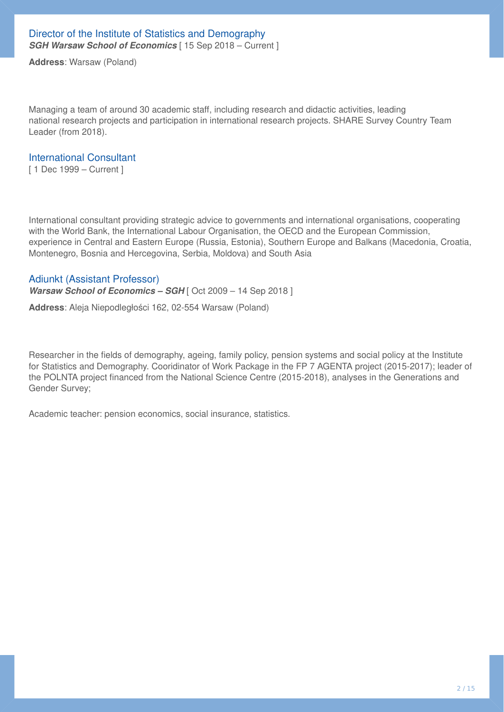**Address**: Warsaw (Poland)

Managing a team of around 30 academic staff, including research and didactic activities, leading national research projects and participation in international research projects. SHARE Survey Country Team Leader (from 2018).

### International Consultant

[ 1 Dec 1999 – Current ]

International consultant providing strategic advice to governments and international organisations, cooperating with the World Bank, the International Labour Organisation, the OECD and the European Commission, experience in Central and Eastern Europe (Russia, Estonia), Southern Europe and Balkans (Macedonia, Croatia, Montenegro, Bosnia and Hercegovina, Serbia, Moldova) and South Asia

### Adiunkt (Assistant Professor)

*Warsaw School of Economics – SGH* [ Oct 2009 – 14 Sep 2018 ]

**Address**: Aleja Niepodległości 162, 02-554 Warsaw (Poland)

Researcher in the fields of demography, ageing, family policy, pension systems and social policy at the Institute for Statistics and Demography. Cooridinator of Work Package in the FP 7 AGENTA project (2015-2017); leader of the POLNTA project financed from the National Science Centre (2015-2018), analyses in the Generations and Gender Survey;

Academic teacher: pension economics, social insurance, statistics.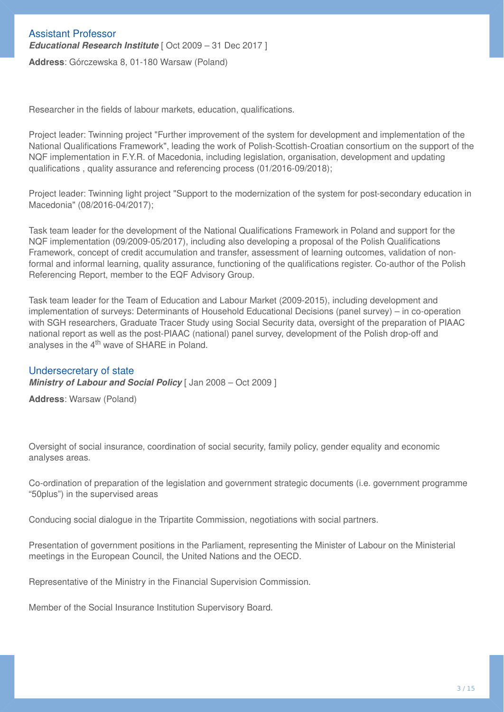Researcher in the fields of labour markets, education, qualifications.

Project leader: Twinning project "Further improvement of the system for development and implementation of the National Qualifications Framework", leading the work of Polish-Scottish-Croatian consortium on the support of the NQF implementation in F.Y.R. of Macedonia, including legislation, organisation, development and updating qualifications , quality assurance and referencing process (01/2016-09/2018);

Project leader: Twinning light project "Support to the modernization of the system for post-secondary education in Macedonia" (08/2016-04/2017);

Task team leader for the development of the National Qualifications Framework in Poland and support for the NQF implementation (09/2009-05/2017), including also developing a proposal of the Polish Qualifications Framework, concept of credit accumulation and transfer, assessment of learning outcomes, validation of nonformal and informal learning, quality assurance, functioning of the qualifications register. Co-author of the Polish Referencing Report, member to the EQF Advisory Group.

Task team leader for the Team of Education and Labour Market (2009-2015), including development and implementation of surveys: Determinants of Household Educational Decisions (panel survey) – in co-operation with SGH researchers, Graduate Tracer Study using Social Security data, oversight of the preparation of PIAAC national report as well as the post-PIAAC (national) panel survey, development of the Polish drop-off and analyses in the 4<sup>th</sup> wave of SHARE in Poland.

### Undersecretary of state

*Ministry of Labour and Social Policy* [ Jan 2008 – Oct 2009 ]

**Address**: Warsaw (Poland)

Oversight of social insurance, coordination of social security, family policy, gender equality and economic analyses areas.

Co-ordination of preparation of the legislation and government strategic documents (i.e. government programme "50plus") in the supervised areas

Conducing social dialogue in the Tripartite Commission, negotiations with social partners.

Presentation of government positions in the Parliament, representing the Minister of Labour on the Ministerial meetings in the European Council, the United Nations and the OECD.

Representative of the Ministry in the Financial Supervision Commission.

Member of the Social Insurance Institution Supervisory Board.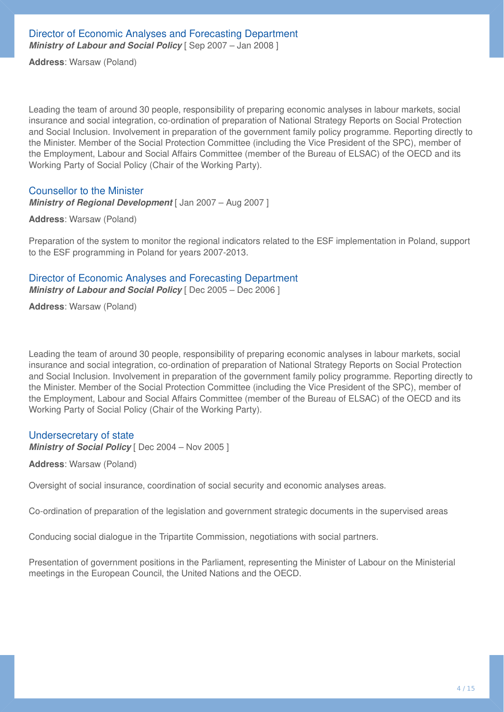**Address**: Warsaw (Poland)

Leading the team of around 30 people, responsibility of preparing economic analyses in labour markets, social insurance and social integration, co-ordination of preparation of National Strategy Reports on Social Protection and Social Inclusion. Involvement in preparation of the government family policy programme. Reporting directly to the Minister. Member of the Social Protection Committee (including the Vice President of the SPC), member of the Employment, Labour and Social Affairs Committee (member of the Bureau of ELSAC) of the OECD and its Working Party of Social Policy (Chair of the Working Party).

### Counsellor to the Minister

*Ministry of Regional Development* [ Jan 2007 – Aug 2007 ]

**Address**: Warsaw (Poland)

Preparation of the system to monitor the regional indicators related to the ESF implementation in Poland, support to the ESF programming in Poland for years 2007-2013.

# Director of Economic Analyses and Forecasting Department

*Ministry of Labour and Social Policy* [ Dec 2005 – Dec 2006 ]

**Address**: Warsaw (Poland)

Leading the team of around 30 people, responsibility of preparing economic analyses in labour markets, social insurance and social integration, co-ordination of preparation of National Strategy Reports on Social Protection and Social Inclusion. Involvement in preparation of the government family policy programme. Reporting directly to the Minister. Member of the Social Protection Committee (including the Vice President of the SPC), member of the Employment, Labour and Social Affairs Committee (member of the Bureau of ELSAC) of the OECD and its Working Party of Social Policy (Chair of the Working Party).

### Undersecretary of state

*Ministry of Social Policy* [ Dec 2004 – Nov 2005 ]

**Address**: Warsaw (Poland)

Oversight of social insurance, coordination of social security and economic analyses areas.

Co-ordination of preparation of the legislation and government strategic documents in the supervised areas

Conducing social dialogue in the Tripartite Commission, negotiations with social partners.

Presentation of government positions in the Parliament, representing the Minister of Labour on the Ministerial meetings in the European Council, the United Nations and the OECD.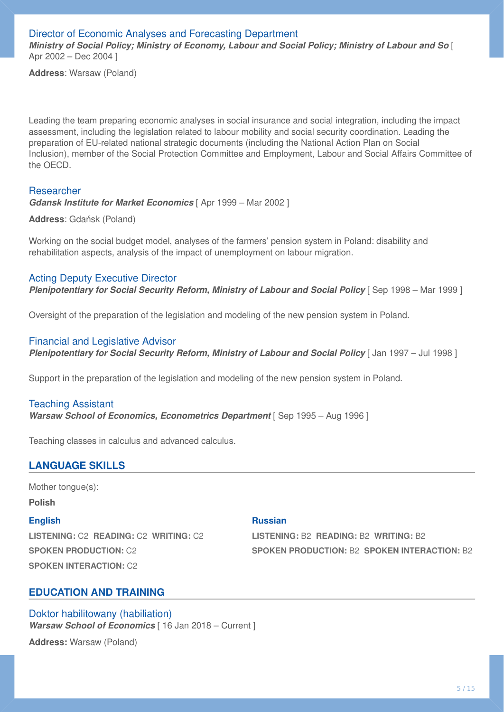Director of Economic Analyses and Forecasting Department *Ministry of Social Policy; Ministry of Economy, Labour and Social Policy; Ministry of Labour and So* [ Apr 2002 – Dec 2004 ]

**Address**: Warsaw (Poland)

Leading the team preparing economic analyses in social insurance and social integration, including the impact assessment, including the legislation related to labour mobility and social security coordination. Leading the preparation of EU-related national strategic documents (including the National Action Plan on Social Inclusion), member of the Social Protection Committee and Employment, Labour and Social Affairs Committee of the OECD.

#### Researcher

*Gdansk Institute for Market Economics* [ Apr 1999 – Mar 2002 ]

**Address**: Gdańsk (Poland)

Working on the social budget model, analyses of the farmers' pension system in Poland: disability and rehabilitation aspects, analysis of the impact of unemployment on labour migration.

#### Acting Deputy Executive Director

**Plenipotentiary for Social Security Reform, Ministry of Labour and Social Policy [Sep 1998 – Mar 1999 ]** 

Oversight of the preparation of the legislation and modeling of the new pension system in Poland.

#### Financial and Legislative Advisor

**Plenipotentiary for Social Security Reform, Ministry of Labour and Social Policy | Jan 1997 – Jul 1998 |** 

Support in the preparation of the legislation and modeling of the new pension system in Poland.

#### Teaching Assistant

**Warsaw School of Economics, Econometrics Department** [Sep 1995 – Aug 1996]

Teaching classes in calculus and advanced calculus.

### **LANGUAGE SKILLS**

Mother tongue(s):

**Polish**

#### **English**

**LISTENING:** C2 **READING:** C2 **WRITING:** C2 **SPOKEN PRODUCTION:** C2 **SPOKEN INTERACTION:** C2

#### **Russian**

**LISTENING:** B2 **READING:** B2 **WRITING:** B2 **SPOKEN PRODUCTION:** B2 **SPOKEN INTERACTION:** B2

# **EDUCATION AND TRAINING**

Doktor habilitowany (habiliation) *Warsaw School of Economics* [ 16 Jan 2018 – Current ]

**Address:** Warsaw (Poland)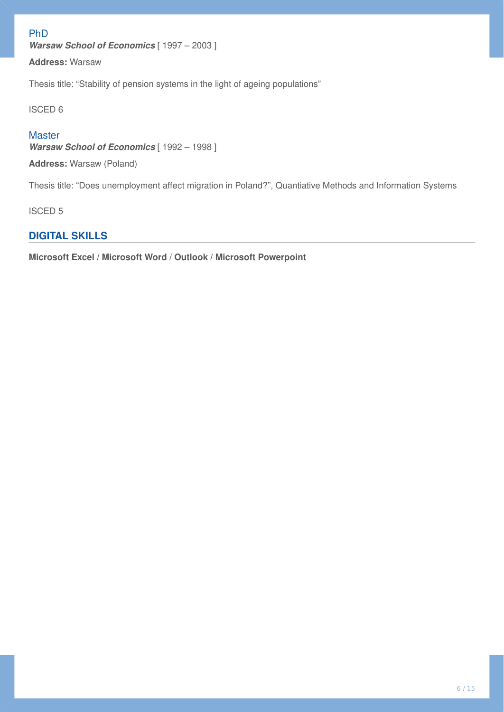# PhD

*Warsaw School of Economics* [ 1997 – 2003 ]

**Address:** Warsaw

Thesis title: "Stability of pension systems in the light of ageing populations"

ISCED 6

### **Master**

*Warsaw School of Economics* [ 1992 – 1998 ]

**Address:** Warsaw (Poland)

Thesis title: "Does unemployment affect migration in Poland?", Quantiative Methods and Information Systems

ISCED 5

# **DIGITAL SKILLS**

**Microsoft Excel / Microsoft Word / Outlook / Microsoft Powerpoint**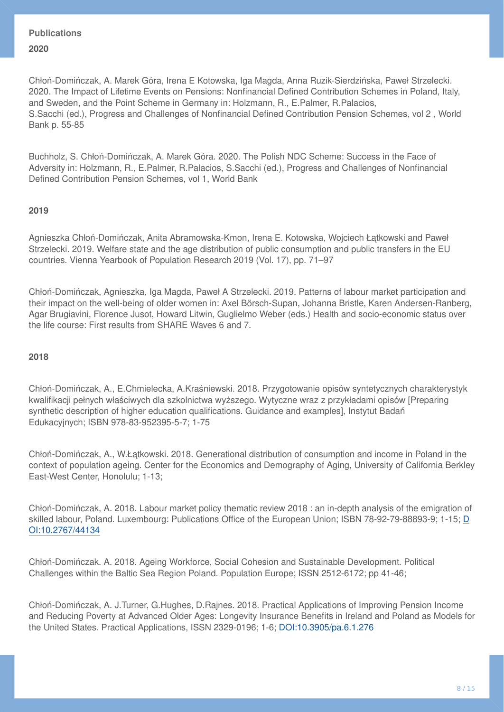# **Publications 2020**

Chłoń-Domińczak, A. Marek Góra, Irena E Kotowska, Iga Magda, Anna Ruzik-Sierdzińska, Paweł Strzelecki. 2020. The Impact of Lifetime Events on Pensions: Nonfinancial Defined Contribution Schemes in Poland, Italy, and Sweden, and the Point Scheme in Germany in: Holzmann, R., E.Palmer, R.Palacios, S.Sacchi (ed.), Progress and Challenges of Nonfinancial Defined Contribution Pension Schemes, vol 2 , World Bank p. 55-85

Buchholz, S. Chłoń-Domińczak, A. Marek Góra. 2020. The Polish NDC Scheme: Success in the Face of Adversity in: Holzmann, R., E.Palmer, R.Palacios, S.Sacchi (ed.), Progress and Challenges of Nonfinancial Defined Contribution Pension Schemes, vol 1, World Bank

### **2019**

Agnieszka Chłoń-Domińczak, Anita Abramowska-Kmon, Irena E. Kotowska, Wojciech Łątkowski and Paweł Strzelecki. 2019. Welfare state and the age distribution of public consumption and public transfers in the EU countries. Vienna Yearbook of Population Research 2019 (Vol. 17), pp. 71–97

Chłoń-Domińczak, Agnieszka, Iga Magda, Paweł A Strzelecki. 2019. Patterns of labour market participation and their impact on the well-being of older women in: Axel Börsch-Supan, Johanna Bristle, Karen Andersen-Ranberg, Agar Brugiavini, Florence Jusot, Howard Litwin, Guglielmo Weber (eds.) Health and socio-economic status over the life course: First results from SHARE Waves 6 and 7.

### **2018**

Chłoń-Domińczak, A., E.Chmielecka, A.Kraśniewski. 2018. Przygotowanie opisów syntetycznych charakterystyk kwalifikacji pełnych właściwych dla szkolnictwa wyższego. Wytyczne wraz z przykładami opisów [Preparing synthetic description of higher education qualifications. Guidance and examples], Instytut Badań Edukacyjnych; ISBN 978-83-952395-5-7; 1-75

Chłoń-Domińczak, A., W.Łątkowski. 2018. Generational distribution of consumption and income in Poland in the context of population ageing. Center for the Economics and Demography of Aging, University of California Berkley East-West Center, Honolulu; 1-13;

Chłoń-Domińczak, A. 2018. Labour market policy thematic review 2018 : an in-depth analysis of the emigration of skilled labour, Poland. Luxembourg: Publications Office of the European Union; ISBN 78-92-79-88893-9; 1-15; [D](https://brama.sgh.waw.pl/10.2767/,DanaInfo=doi.org+44134) [OI:10.2767/44134](https://brama.sgh.waw.pl/10.2767/,DanaInfo=doi.org+44134)

Chłoń-Domińczak. A. 2018. Ageing Workforce, Social Cohesion and Sustainable Development. Political Challenges within the Baltic Sea Region Poland. Population Europe; ISSN 2512-6172; pp 41-46;

Chłoń-Domińczak, A. J.Turner, G.Hughes, D.Rajnes. 2018. Practical Applications of Improving Pension Income and Reducing Poverty at Advanced Older Ages: Longevity Insurance Benefits in Ireland and Poland as Models for the United States. Practical Applications, ISSN 2329-0196; 1-6; [DOI:10.3905/pa.6.1.276](https://brama.sgh.waw.pl/10.3905/,DanaInfo=doi.org+pa.6.1.276)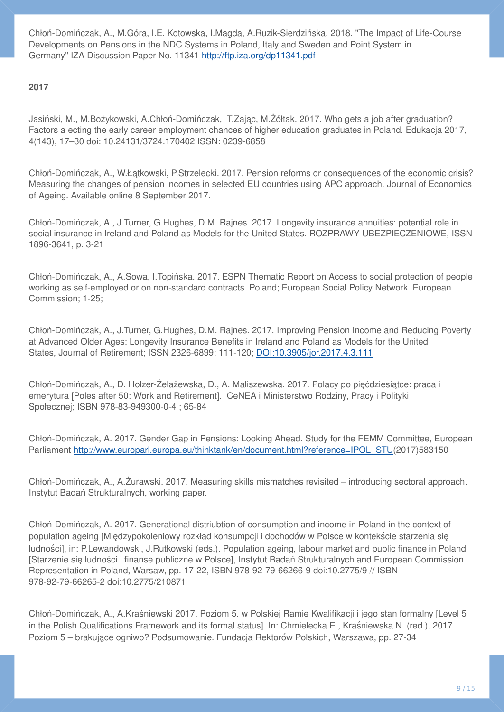Chłoń-Domińczak, A., M.Góra, I.E. Kotowska, I.Magda, A.Ruzik-Sierdzińska. 2018. "The Impact of Life-Course Developments on Pensions in the NDC Systems in Poland, Italy and Sweden and Point System in Germany" IZA Discussion Paper No. 11341 <http://ftp.iza.org/dp11341.pdf>

**2017**

Jasiński, M., M.Bożykowski, A.Chłoń-Domińczak, T.Zając, M.Żółtak. 2017. Who gets a job after graduation? Factors a ecting the early career employment chances of higher education graduates in Poland. Edukacja 2017, 4(143), 17–30 doi: 10.24131/3724.170402 ISSN: 0239-6858

Chłoń-Domińczak, A., W.Łątkowski, P.Strzelecki. 2017. Pension reforms or consequences of the economic crisis? Measuring the changes of pension incomes in selected EU countries using APC approach. Journal of Economics of Ageing. Available online 8 September 2017.

Chłoń-Domińczak, A., J.Turner, G.Hughes, D.M. Rajnes. 2017. Longevity insurance annuities: potential role in social insurance in Ireland and Poland as Models for the United States. ROZPRAWY UBEZPIECZENIOWE, ISSN 1896-3641, p. 3-21

Chłoń-Domińczak, A., A.Sowa, I.Topińska. 2017. ESPN Thematic Report on Access to social protection of people working as self-employed or on non-standard contracts. Poland; European Social Policy Network. European Commission; 1-25;

Chłoń-Domińczak, A., J.Turner, G.Hughes, D.M. Rajnes. 2017. Improving Pension Income and Reducing Poverty at Advanced Older Ages: Longevity Insurance Benefits in Ireland and Poland as Models for the United States, Journal of Retirement; ISSN 2326-6899; 111-120; [DOI:10.3905/jor.2017.4.3.111](https://brama.sgh.waw.pl/10.3905/,DanaInfo=doi.org+jor.2017.4.3.111)

Chłoń-Domińczak, A., D. Holzer-Żelażewska, D., A. Maliszewska. 2017. Polacy po pięćdziesiątce: praca i emerytura [Poles after 50: Work and Retirement]. CeNEA i Ministerstwo Rodziny, Pracy i Polityki Społecznej; ISBN 978-83-949300-0-4 ; 65-84

Chłoń-Domińczak, A. 2017. Gender Gap in Pensions: Looking Ahead. Study for the FEMM Committee, European Parliament [http://www.europarl.europa.eu/thinktank/en/document.html?reference=IPOL\\_STU\(](http://www.europarl.europa.eu/thinktank/en/document.html?reference=IPOL_STU)2017)583150

Chłoń-Domińczak, A., A.Żurawski. 2017. Measuring skills mismatches revisited – introducing sectoral approach. Instytut Badań Strukturalnych, working paper.

Chłoń-Domińczak, A. 2017. Generational distriubtion of consumption and income in Poland in the context of population ageing [Miedzypokoleniowy rozkład konsumpcji i dochodów w Polsce w kontekście starzenia sie ludności], in: P.Lewandowski, J.Rutkowski (eds.). Population ageing, labour market and public finance in Poland [Starzenie się ludności i finanse publiczne w Polsce], Instytut Badań Strukturalnych and European Commission Representation in Poland, Warsaw, pp. 17-22, ISBN 978-92-79-66266-9 doi:10.2775/9 // ISBN 978-92-79-66265-2 doi:10.2775/210871

Chłoń-Domińczak, A., A.Kraśniewski 2017. Poziom 5. w Polskiej Ramie Kwalifikacji i jego stan formalny [Level 5 in the Polish Qualifications Framework and its formal status]. In: Chmielecka E., Kraśniewska N. (red.), 2017. Poziom 5 – brakujące ogniwo? Podsumowanie. Fundacja Rektorów Polskich, Warszawa, pp. 27-34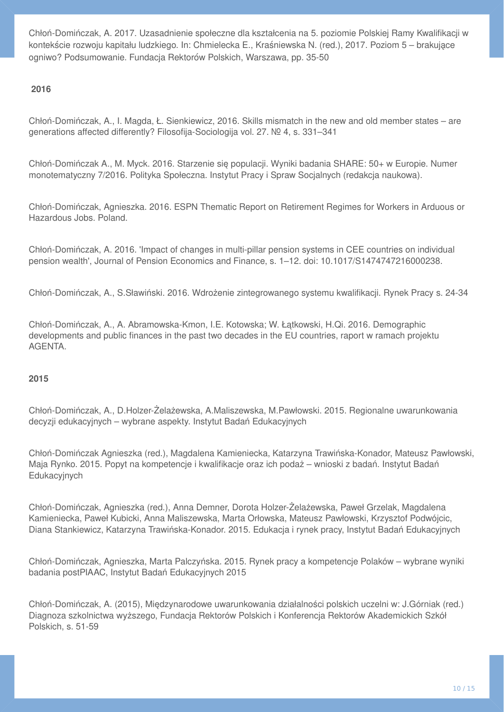Chłoń-Domińczak, A. 2017. Uzasadnienie społeczne dla kształcenia na 5. poziomie Polskiej Ramy Kwalifikacji w kontekście rozwoju kapitału ludzkiego. In: Chmielecka E., Kraśniewska N. (red.), 2017. Poziom 5 – brakujace ogniwo? Podsumowanie. Fundacja Rektorów Polskich, Warszawa, pp. 35-50

#### **2016**

Chłoń-Domińczak, A., I. Magda, Ł. Sienkiewicz, 2016. Skills mismatch in the new and old member states – are generations affected differently? Filosofija-Sociologija vol. 27. № 4, s. 331–341

Chłoń-Domińczak A., M. Myck. 2016. Starzenie się populacji. Wyniki badania SHARE: 50+ w Europie. Numer monotematyczny 7/2016. Polityka Społeczna. Instytut Pracy i Spraw Socjalnych (redakcja naukowa).

Chłoń-Domińczak, Agnieszka. 2016. ESPN Thematic Report on Retirement Regimes for Workers in Arduous or Hazardous Jobs. Poland.

Chłoń-Domińczak, A. 2016. 'Impact of changes in multi-pillar pension systems in CEE countries on individual pension wealth', Journal of Pension Economics and Finance, s. 1–12. doi: 10.1017/S1474747216000238.

Chłoń-Domińczak, A., S.Sławiński. 2016. Wdrożenie zintegrowanego systemu kwalifikacji. Rynek Pracy s. 24-34

Chłoń-Domińczak, A., A. Abramowska-Kmon, I.E. Kotowska; W. Łątkowski, H.Qi. 2016. Demographic developments and public finances in the past two decades in the EU countries, raport w ramach projektu AGENTA.

#### **2015**

Chłoń-Domińczak, A., D.Holzer-Żelażewska, A.Maliszewska, M.Pawłowski. 2015. Regionalne uwarunkowania decyzji edukacyjnych – wybrane aspekty. Instytut Badań Edukacyjnych

Chłoń-Domińczak Agnieszka (red.), Magdalena Kamieniecka, Katarzyna Trawińska-Konador, Mateusz Pawłowski, Maja Rynko. 2015. Popyt na kompetencje i kwalifikacje oraz ich podaż – wnioski z badań. Instytut Badań Edukacyjnych

Chłoń-Domińczak, Agnieszka (red.), Anna Demner, Dorota Holzer-Żelażewska, Paweł Grzelak, Magdalena Kamieniecka, Paweł Kubicki, Anna Maliszewska, Marta Orłowska, Mateusz Pawłowski, Krzysztof Podwójcic, Diana Stankiewicz, Katarzyna Trawińska-Konador. 2015. Edukacja i rynek pracy, Instytut Badań Edukacyjnych

Chłoń-Domińczak, Agnieszka, Marta Palczyńska. 2015. Rynek pracy a kompetencje Polaków – wybrane wyniki badania postPIAAC, Instytut Badań Edukacyjnych 2015

Chłoń-Domińczak, A. (2015), Międzynarodowe uwarunkowania działalności polskich uczelni w: J.Górniak (red.) Diagnoza szkolnictwa wyższego, Fundacja Rektorów Polskich i Konferencja Rektorów Akademickich Szkół Polskich, s. 51-59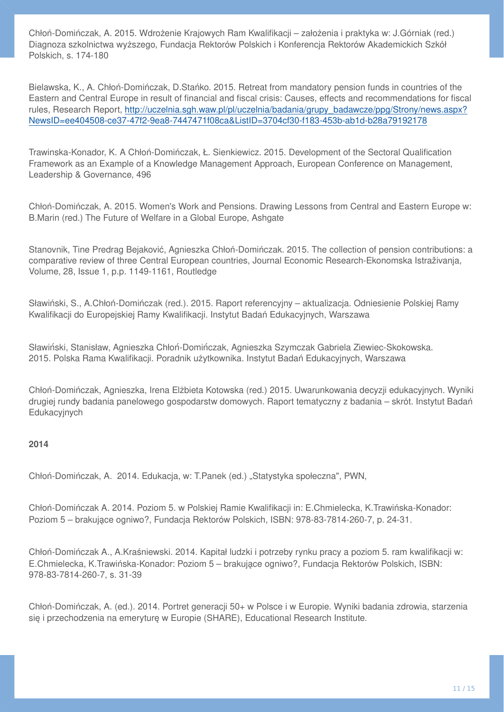Chłoń-Domińczak, A. 2015. Wdrożenie Krajowych Ram Kwalifikacji – założenia i praktyka w: J.Górniak (red.) Diagnoza szkolnictwa wyższego, Fundacja Rektorów Polskich i Konferencja Rektorów Akademickich Szkół Polskich, s. 174-180

Bielawska, K., A. Chłoń-Domińczak, D.Stańko. 2015. Retreat from mandatory pension funds in countries of the Eastern and Central Europe in result of financial and fiscal crisis: Causes, effects and recommendations for fiscal rules, Research Report, [http://uczelnia.sgh.waw.pl/pl/uczelnia/badania/grupy\\_badawcze/ppg/Strony/news.aspx?](http://uczelnia.sgh.waw.pl/pl/uczelnia/badania/grupy_badawcze/ppg/Strony/news.aspx?NewsID=ee404508-ce37-47f2-9ea8-7447471f08ca&ListID=3704cf30-f183-453b-ab1d-b28a79192178) [NewsID=ee404508-ce37-47f2-9ea8-7447471f08ca&ListID=3704cf30-f183-453b-ab1d-b28a79192178](http://uczelnia.sgh.waw.pl/pl/uczelnia/badania/grupy_badawcze/ppg/Strony/news.aspx?NewsID=ee404508-ce37-47f2-9ea8-7447471f08ca&ListID=3704cf30-f183-453b-ab1d-b28a79192178)

Trawinska-Konador, K. A Chłoń-Domińczak, Ł. Sienkiewicz. 2015. Development of the Sectoral Qualification Framework as an Example of a Knowledge Management Approach, European Conference on Management, Leadership & Governance, 496

Chłoń-Domińczak, A. 2015. Women's Work and Pensions. Drawing Lessons from Central and Eastern Europe w: B.Marin (red.) The Future of Welfare in a Global Europe, Ashgate

Stanovnik, Tine Predrag Bejaković, Agnieszka Chłoń-Domińczak. 2015. The collection of pension contributions: a comparative review of three Central European countries, Journal Economic Research-Ekonomska Istraživanja, Volume, 28, Issue 1, p.p. 1149-1161, Routledge

Sławiński, S., A.Chłoń-Domińczak (red.). 2015. Raport referencyjny – aktualizacja. Odniesienie Polskiej Ramy Kwalifikacji do Europejskiej Ramy Kwalifikacji. Instytut Badań Edukacyjnych, Warszawa

Sławiński, Stanisław, Agnieszka Chłoń-Domińczak, Agnieszka Szymczak Gabriela Ziewiec-Skokowska. 2015. Polska Rama Kwalifikacji. Poradnik użytkownika. Instytut Badań Edukacyjnych, Warszawa

Chłoń-Domińczak, Agnieszka, Irena Elżbieta Kotowska (red.) 2015. Uwarunkowania decyzji edukacyjnych. Wyniki drugiej rundy badania panelowego gospodarstw domowych. Raport tematyczny z badania – skrót. Instytut Badań Edukacyjnych

# **2014**

Chłoń-Domińczak, A. 2014. Edukacja, w: T.Panek (ed.) "Statystyka społeczna", PWN,

Chłoń-Domińczak A. 2014. Poziom 5. w Polskiej Ramie Kwalifikacji in: E.Chmielecka, K.Trawińska-Konador: Poziom 5 – brakujące ogniwo?, Fundacja Rektorów Polskich, ISBN: 978-83-7814-260-7, p. 24-31.

Chłoń-Domińczak A., A.Kraśniewski. 2014. Kapitał ludzki i potrzeby rynku pracy a poziom 5. ram kwalifikacji w: E.Chmielecka, K.Trawińska-Konador: Poziom 5 – brakujące ogniwo?, Fundacja Rektorów Polskich, ISBN: 978-83-7814-260-7, s. 31-39

Chłoń-Domińczak, A. (ed.). 2014. Portret generacji 50+ w Polsce i w Europie. Wyniki badania zdrowia, starzenia się i przechodzenia na emeryturę w Europie (SHARE), Educational Research Institute.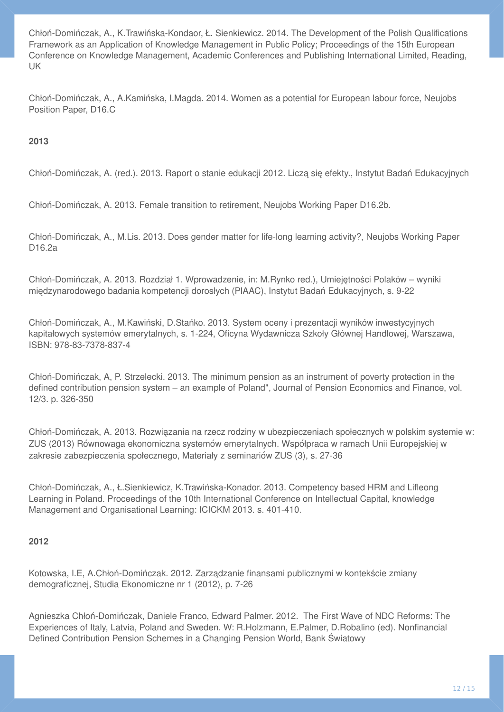Chłoń-Domińczak, A., K.Trawińska-Kondaor, Ł. Sienkiewicz. 2014. The Development of the Polish Qualifications Framework as an Application of Knowledge Management in Public Policy; Proceedings of the 15th European Conference on Knowledge Management, Academic Conferences and Publishing International Limited, Reading, UK

Chłoń-Domińczak, A., A.Kamińska, I.Magda. 2014. Women as a potential for European labour force, Neujobs Position Paper, D16.C

### **2013**

Chłoń-Domińczak, A. (red.). 2013. Raport o stanie edukacji 2012. Liczą się efekty., Instytut Badań Edukacyjnych

Chłoń-Domińczak, A. 2013. Female transition to retirement, Neujobs Working Paper D16.2b.

Chłoń-Domińczak, A., M.Lis. 2013. Does gender matter for life-long learning activity?, Neujobs Working Paper D16.2a

Chłoń-Domińczak, A. 2013. Rozdział 1. Wprowadzenie, in: M.Rynko red.), Umiejętności Polaków – wyniki międzynarodowego badania kompetencji dorosłych (PIAAC), Instytut Badań Edukacyjnych, s. 9-22

Chłoń-Domińczak, A., M.Kawiński, D.Stańko. 2013. System oceny i prezentacji wyników inwestycyjnych kapitałowych systemów emerytalnych, s. 1-224, Oficyna Wydawnicza Szkoły Głównej Handlowej, Warszawa, ISBN: 978-83-7378-837-4

Chłoń-Domińczak, A, P. Strzelecki. 2013. The minimum pension as an instrument of poverty protection in the defined contribution pension system – an example of Poland", Journal of Pension Economics and Finance, vol. 12/3. p. 326-350

Chłoń-Domińczak, A. 2013. Rozwiązania na rzecz rodziny w ubezpieczeniach społecznych w polskim systemie w: ZUS (2013) Równowaga ekonomiczna systemów emerytalnych. Współpraca w ramach Unii Europejskiej w zakresie zabezpieczenia społecznego, Materiały z seminariów ZUS (3), s. 27-36

Chłoń-Domińczak, A., Ł.Sienkiewicz, K.Trawińska-Konador. 2013. Competency based HRM and Lifleong Learning in Poland. Proceedings of the 10th International Conference on Intellectual Capital, knowledge Management and Organisational Learning: ICICKM 2013. s. 401-410.

#### **2012**

Kotowska, I.E, A.Chłoń-Domińczak. 2012. Zarządzanie finansami publicznymi w kontekście zmiany demograficznej, Studia Ekonomiczne nr 1 (2012), p. 7-26

Agnieszka Chłoń-Domińczak, Daniele Franco, Edward Palmer. 2012. The First Wave of NDC Reforms: The Experiences of Italy, Latvia, Poland and Sweden. W: R.Holzmann, E.Palmer, D.Robalino (ed). Nonfinancial Defined Contribution Pension Schemes in a Changing Pension World, Bank Światowy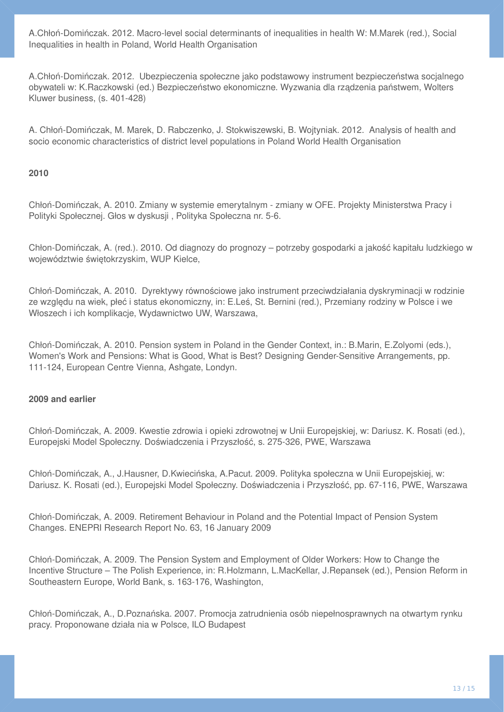A.Chłoń-Domińczak. 2012. Macro-level social determinants of inequalities in health W: M.Marek (red.), Social Inequalities in health in Poland, World Health Organisation

A.Chłoń-Domińczak. 2012. Ubezpieczenia społeczne jako podstawowy instrument bezpieczeństwa socjalnego obywateli w: K.Raczkowski (ed.) Bezpieczeństwo ekonomiczne. Wyzwania dla rządzenia państwem, Wolters Kluwer business, (s. 401-428)

A. Chłoń-Domińczak, M. Marek, D. Rabczenko, J. Stokwiszewski, B. Wojtyniak. 2012. Analysis of health and socio economic characteristics of district level populations in Poland World Health Organisation

#### **2010**

Chłoń-Domińczak, A. 2010. Zmiany w systemie emerytalnym - zmiany w OFE. Projekty Ministerstwa Pracy i Polityki Społecznej. Głos w dyskusji , Polityka Społeczna nr. 5-6.

Chłon-Domińczak, A. (red.). 2010. Od diagnozy do prognozy – potrzeby gospodarki a jakość kapitału ludzkiego w województwie świętokrzyskim, WUP Kielce,

Chłoń-Domińczak, A. 2010. Dyrektywy równościowe jako instrument przeciwdziałania dyskryminacji w rodzinie ze względu na wiek, płeć i status ekonomiczny, in: E.Leś, St. Bernini (red.), Przemiany rodziny w Polsce i we Włoszech i ich komplikacje, Wydawnictwo UW, Warszawa,

Chłoń-Domińczak, A. 2010. Pension system in Poland in the Gender Context, in.: B.Marin, E.Zolyomi (eds.), Women's Work and Pensions: What is Good, What is Best? Designing Gender-Sensitive Arrangements, pp. 111-124, European Centre Vienna, Ashgate, Londyn.

#### **2009 and earlier**

Chłoń-Domińczak, A. 2009. Kwestie zdrowia i opieki zdrowotnej w Unii Europejskiej, w: Dariusz. K. Rosati (ed.), Europejski Model Społeczny. Doświadczenia i Przyszłość, s. 275-326, PWE, Warszawa

Chłoń-Domińczak, A., J.Hausner, D.Kwiecińska, A.Pacut. 2009. Polityka społeczna w Unii Europejskiej, w: Dariusz. K. Rosati (ed.), Europejski Model Społeczny. Doświadczenia i Przyszłość, pp. 67-116, PWE, Warszawa

Chłoń-Domińczak, A. 2009. Retirement Behaviour in Poland and the Potential Impact of Pension System Changes. ENEPRI Research Report No. 63, 16 January 2009

Chłoń-Domińczak, A. 2009. The Pension System and Employment of Older Workers: How to Change the Incentive Structure – The Polish Experience, in: R.Holzmann, L.MacKellar, J.Repansek (ed.), Pension Reform in Southeastern Europe, World Bank, s. 163-176, Washington,

Chłoń-Domińczak, A., D.Poznańska. 2007. Promocja zatrudnienia osób niepełnosprawnych na otwartym rynku pracy. Proponowane działa nia w Polsce, ILO Budapest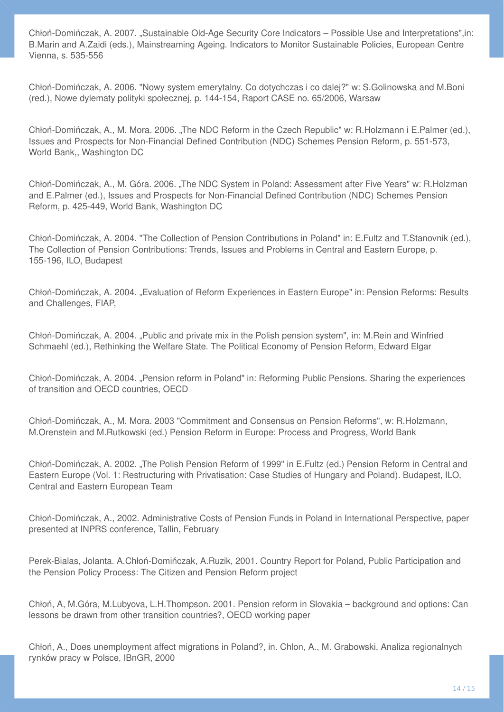Chłoń-Domińczak, A. 2007. "Sustainable Old-Age Security Core Indicators – Possible Use and Interpretations",in: B.Marin and A.Zaidi (eds.), Mainstreaming Ageing. Indicators to Monitor Sustainable Policies, European Centre Vienna, s. 535-556

Chłoń-Domińczak, A. 2006. "Nowy system emerytalny. Co dotychczas i co dalej?" w: S.Golinowska and M.Boni (red.), Nowe dylematy polityki społecznej, p. 144-154, Raport CASE no. 65/2006, Warsaw

Chłoń-Domińczak, A., M. Mora. 2006. "The NDC Reform in the Czech Republic" w: R.Holzmann i E.Palmer (ed.), Issues and Prospects for Non-Financial Defined Contribution (NDC) Schemes Pension Reform, p. 551-573, World Bank,, Washington DC

Chłoń-Domińczak, A., M. Góra. 2006. "The NDC System in Poland: Assessment after Five Years" w: R.Holzman and E.Palmer (ed.), Issues and Prospects for Non-Financial Defined Contribution (NDC) Schemes Pension Reform, p. 425-449, World Bank, Washington DC

Chłoń-Domińczak, A. 2004. "The Collection of Pension Contributions in Poland" in: E.Fultz and T.Stanovnik (ed.), The Collection of Pension Contributions: Trends, Issues and Problems in Central and Eastern Europe, p. 155-196, ILO, Budapest

Chłoń-Domińczak, A. 2004. "Evaluation of Reform Experiences in Eastern Europe" in: Pension Reforms: Results and Challenges, FIAP,

Chłoń-Domińczak, A. 2004. "Public and private mix in the Polish pension system", in: M.Rein and Winfried Schmaehl (ed.), Rethinking the Welfare State. The Political Economy of Pension Reform, Edward Elgar

Chłoń-Domińczak, A. 2004. "Pension reform in Poland" in: Reforming Public Pensions. Sharing the experiences of transition and OECD countries, OECD

Chłoń-Domińczak, A., M. Mora. 2003 "Commitment and Consensus on Pension Reforms", w: R.Holzmann, M.Orenstein and M.Rutkowski (ed.) Pension Reform in Europe: Process and Progress, World Bank

Chłoń-Domińczak, A. 2002. "The Polish Pension Reform of 1999" in E.Fultz (ed.) Pension Reform in Central and Eastern Europe (Vol. 1: Restructuring with Privatisation: Case Studies of Hungary and Poland). Budapest, ILO, Central and Eastern European Team

Chłoń-Domińczak, A., 2002. Administrative Costs of Pension Funds in Poland in International Perspective, paper presented at INPRS conference, Tallin, February

Perek-Bialas, Jolanta. A.Chłoń-Domińczak, A.Ruzik, 2001. Country Report for Poland, Public Participation and the Pension Policy Process: The Citizen and Pension Reform project

Chłoń, A, M.Góra, M.Lubyova, L.H.Thompson. 2001. Pension reform in Slovakia – background and options: Can lessons be drawn from other transition countries?, OECD working paper

Chłoń, A., Does unemployment affect migrations in Poland?, in. Chlon, A., M. Grabowski, Analiza regionalnych rynków pracy w Polsce, IBnGR, 2000